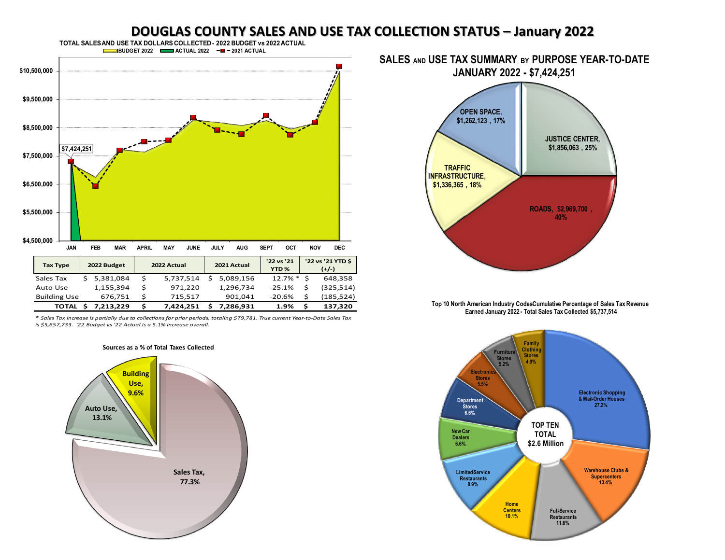## **DOUGLAS COUNTY SALES AND USE TAX COLLECTION STATUS – January 2022**



*\* Sales Tax increase is partially due to collections for prior periods, totaling \$79,781. True current Year-to-Date Sales Tax is \$5,657,733. '22 Budget vs '22 Actual is a 5.1% increase overall.* 

**Sources as a % of Total Taxes Collected**



**SALES AND USE TAX SUMMARY BY PURPOSE YEAR-TO-DATE** 



Top 10 North American Industry CodesCumulative Percentage of Sales Tax Revenue Earned January 2022 - Total Sales Tax Collected \$5,737,514